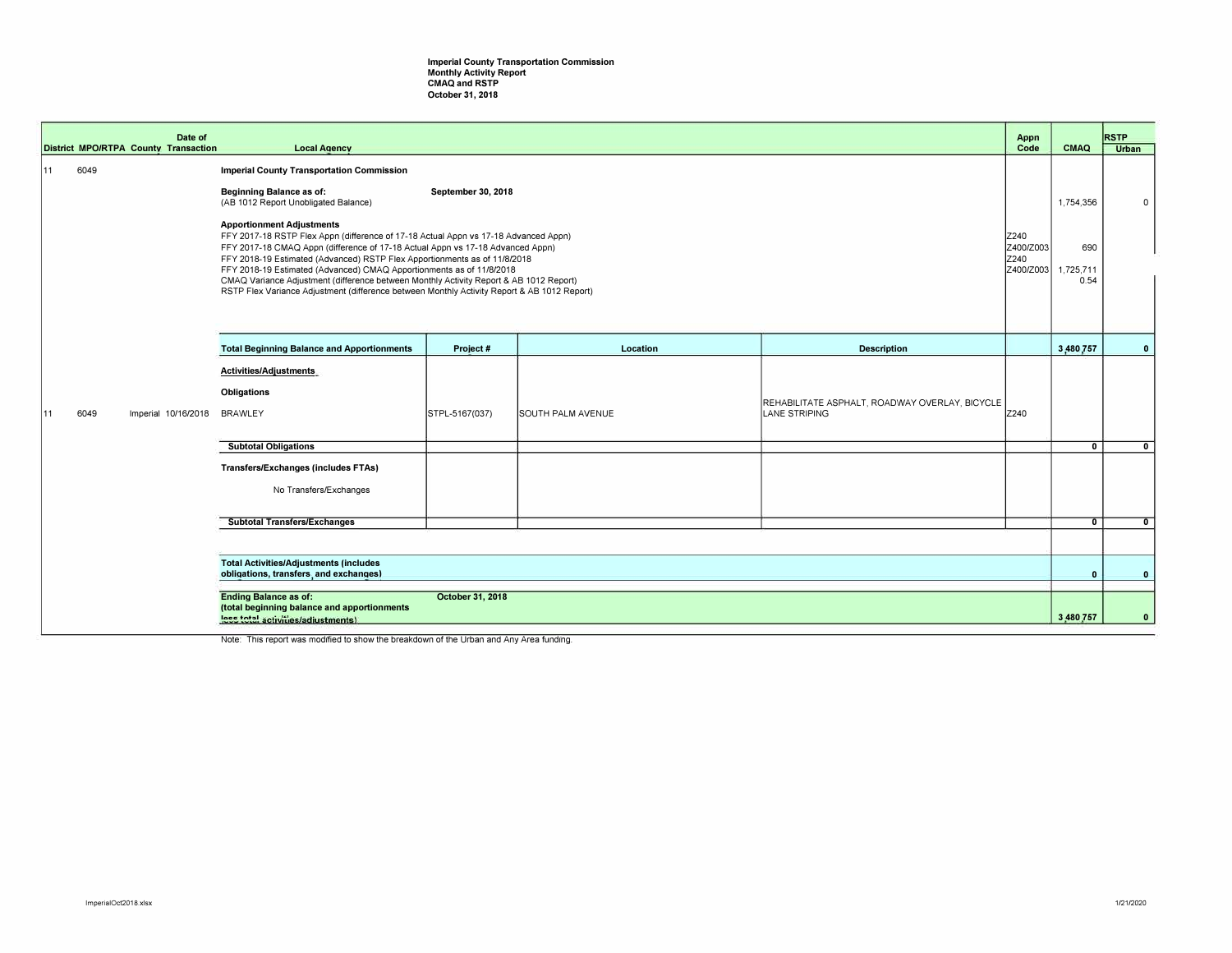## **Imperial County Transportation Commission Monthly Activity Report CMAQ and RSTP October 31, 2018**

|     |      | Date of<br><b>District MPO/RTPA County Transaction</b> | <b>Local Agency</b>                                                                                                                                                                                                                                                                                                                                                                                                                                                                                                                                     |                    |                   |                                                                        | Appn<br>Code | <b>CMAQ</b>                                        | <b>RSTP</b><br><b>Urban</b> |
|-----|------|--------------------------------------------------------|---------------------------------------------------------------------------------------------------------------------------------------------------------------------------------------------------------------------------------------------------------------------------------------------------------------------------------------------------------------------------------------------------------------------------------------------------------------------------------------------------------------------------------------------------------|--------------------|-------------------|------------------------------------------------------------------------|--------------|----------------------------------------------------|-----------------------------|
| 111 | 6049 |                                                        | <b>Imperial County Transportation Commission</b>                                                                                                                                                                                                                                                                                                                                                                                                                                                                                                        |                    |                   |                                                                        |              |                                                    |                             |
|     |      |                                                        | <b>Beginning Balance as of:</b><br>(AB 1012 Report Unobligated Balance)                                                                                                                                                                                                                                                                                                                                                                                                                                                                                 | September 30, 2018 |                   |                                                                        |              | 1,754,356                                          | 0                           |
|     |      |                                                        | <b>Apportionment Adjustments</b><br>FFY 2017-18 RSTP Flex Appn (difference of 17-18 Actual Appn vs 17-18 Advanced Appn)<br>FFY 2017-18 CMAQ Appn (difference of 17-18 Actual Appn vs 17-18 Advanced Appn)<br>FFY 2018-19 Estimated (Advanced) RSTP Flex Apportionments as of 11/8/2018<br>FFY 2018-19 Estimated (Advanced) CMAQ Apportionments as of 11/8/2018<br>CMAQ Variance Adjustment (difference between Monthly Activity Report & AB 1012 Report)<br>RSTP Flex Variance Adjustment (difference between Monthly Activity Report & AB 1012 Report) |                    |                   |                                                                        |              | Z400/Z003<br>690<br>Z400/Z003<br>1,725,711<br>0.54 |                             |
|     |      |                                                        | <b>Total Beginning Balance and Apportionments</b>                                                                                                                                                                                                                                                                                                                                                                                                                                                                                                       | Project #          | Location          | <b>Description</b>                                                     |              | 3,480,757                                          | $\mathbf{0}$                |
|     |      |                                                        | Activities/Adjustments                                                                                                                                                                                                                                                                                                                                                                                                                                                                                                                                  |                    |                   |                                                                        |              |                                                    |                             |
| 111 | 6049 | Imperial 10/16/2018                                    | <b>Obligations</b><br><b>BRAWLEY</b>                                                                                                                                                                                                                                                                                                                                                                                                                                                                                                                    | STPL-5167(037)     | SOUTH PALM AVENUE | REHABILITATE ASPHALT, ROADWAY OVERLAY, BICYCLE<br><b>LANE STRIPING</b> | Z240         |                                                    |                             |
|     |      |                                                        | <b>Subtotal Obligations</b>                                                                                                                                                                                                                                                                                                                                                                                                                                                                                                                             |                    |                   |                                                                        |              | $\mathbf{0}$                                       | $\mathbf{0}$                |
|     |      |                                                        | <b>Transfers/Exchanges (includes FTAs)</b><br>No Transfers/Exchanges                                                                                                                                                                                                                                                                                                                                                                                                                                                                                    |                    |                   |                                                                        |              |                                                    |                             |
|     |      |                                                        | <b>Subtotal Transfers/Exchanges</b>                                                                                                                                                                                                                                                                                                                                                                                                                                                                                                                     |                    |                   |                                                                        |              | $\mathbf{0}$                                       | $\Omega$                    |
|     |      |                                                        |                                                                                                                                                                                                                                                                                                                                                                                                                                                                                                                                                         |                    |                   |                                                                        |              |                                                    |                             |
|     |      |                                                        | <b>Total Activities/Adjustments (includes</b><br>obligations, transfers, and exchanges)                                                                                                                                                                                                                                                                                                                                                                                                                                                                 |                    |                   |                                                                        |              | $\mathbf{0}$                                       | $\mathbf{0}$                |
|     |      |                                                        | <b>Ending Balance as of:</b><br>October 31, 2018<br>(total beginning balance and apportionments<br>less total activities/adjustments)                                                                                                                                                                                                                                                                                                                                                                                                                   |                    |                   |                                                                        |              | 3,480,757                                          | $\Omega$                    |

Note: This report was modified to show the breakdown of the Urban and Any Area funding.